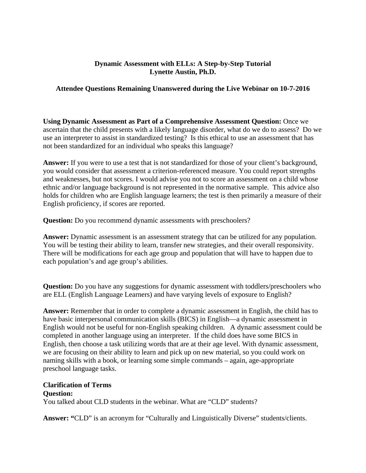### **Dynamic Assessment with ELLs: A Step-by-Step Tutorial Lynette Austin, Ph.D.**

# **Attendee Questions Remaining Unanswered during the Live Webinar on 10-7-2016**

**Using Dynamic Assessment as Part of a Comprehensive Assessment Question:** Once we ascertain that the child presents with a likely language disorder, what do we do to assess? Do we use an interpreter to assist in standardized testing? Is this ethical to use an assessment that has not been standardized for an individual who speaks this language?

**Answer:** If you were to use a test that is not standardized for those of your client's background, you would consider that assessment a criterion-referenced measure. You could report strengths and weaknesses, but not scores. I would advise you not to score an assessment on a child whose ethnic and/or language background is not represented in the normative sample. This advice also holds for children who are English language learners; the test is then primarily a measure of their English proficiency, if scores are reported.

**Question:** Do you recommend dynamic assessments with preschoolers?

**Answer:** Dynamic assessment is an assessment strategy that can be utilized for any population. You will be testing their ability to learn, transfer new strategies, and their overall responsivity. There will be modifications for each age group and population that will have to happen due to each population's and age group's abilities.

**Question:** Do you have any suggestions for dynamic assessment with toddlers/preschoolers who are ELL (English Language Learners) and have varying levels of exposure to English?

**Answer:** Remember that in order to complete a dynamic assessment in English, the child has to have basic interpersonal communication skills (BICS) in English—a dynamic assessment in English would not be useful for non-English speaking children. A dynamic assessment could be completed in another language using an interpreter. If the child does have some BICS in English, then choose a task utilizing words that are at their age level. With dynamic assessment, we are focusing on their ability to learn and pick up on new material, so you could work on naming skills with a book, or learning some simple commands – again, age-appropriate preschool language tasks.

## **Clarification of Terms**

## **Question:**

You talked about CLD students in the webinar. What are "CLD" students?

**Answer: "**CLD" is an acronym for "Culturally and Linguistically Diverse" students/clients.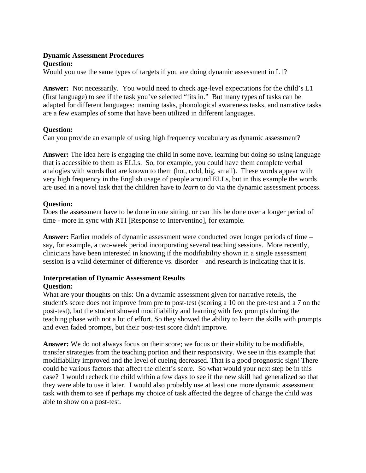# **Dynamic Assessment Procedures**

## **Question:**

Would you use the same types of targets if you are doing dynamic assessment in L1?

**Answer:** Not necessarily. You would need to check age-level expectations for the child's L1 (first language) to see if the task you've selected "fits in." But many types of tasks can be adapted for different languages: naming tasks, phonological awareness tasks, and narrative tasks are a few examples of some that have been utilized in different languages.

# **Question:**

Can you provide an example of using high frequency vocabulary as dynamic assessment?

**Answer:** The idea here is engaging the child in some novel learning but doing so using language that is accessible to them as ELLs. So, for example, you could have them complete verbal analogies with words that are known to them (hot, cold, big, small). These words appear with very high frequency in the English usage of people around ELLs, but in this example the words are used in a novel task that the children have to *learn* to do via the dynamic assessment process.

# **Question:**

Does the assessment have to be done in one sitting, or can this be done over a longer period of time - more in sync with RTI [Response to Interventino], for example.

**Answer:** Earlier models of dynamic assessment were conducted over longer periods of time – say, for example, a two-week period incorporating several teaching sessions. More recently, clinicians have been interested in knowing if the modifiability shown in a single assessment session is a valid determiner of difference vs. disorder – and research is indicating that it is.

## **Interpretation of Dynamic Assessment Results Question:**

What are your thoughts on this: On a dynamic assessment given for narrative retells, the student's score does not improve from pre to post-test (scoring a 10 on the pre-test and a 7 on the post-test), but the student showed modifiability and learning with few prompts during the teaching phase with not a lot of effort. So they showed the ability to learn the skills with prompts and even faded prompts, but their post-test score didn't improve.

**Answer:** We do not always focus on their score; we focus on their ability to be modifiable, transfer strategies from the teaching portion and their responsivity. We see in this example that modifiability improved and the level of cueing decreased. That is a good prognostic sign! There could be various factors that affect the client's score. So what would your next step be in this case? I would recheck the child within a few days to see if the new skill had generalized so that they were able to use it later. I would also probably use at least one more dynamic assessment task with them to see if perhaps my choice of task affected the degree of change the child was able to show on a post-test.